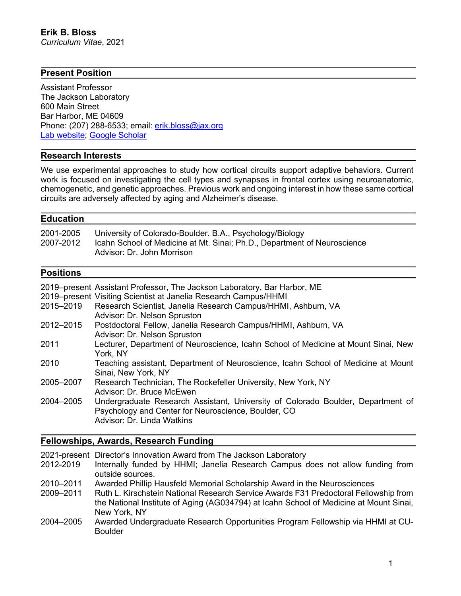## **Present Position**

Assistant Professor The Jackson Laboratory 600 Main Street Bar Harbor, ME 04609 Phone: (207) 288-6533; email: erik.bloss@jax.org Lab website; Google Scholar

### **Research Interests**

We use experimental approaches to study how cortical circuits support adaptive behaviors. Current work is focused on investigating the cell types and synapses in frontal cortex using neuroanatomic, chemogenetic, and genetic approaches. Previous work and ongoing interest in how these same cortical circuits are adversely affected by aging and Alzheimer's disease.

## **Education**

| 2001-2005 | University of Colorado-Boulder. B.A., Psychology/Biology                 |
|-----------|--------------------------------------------------------------------------|
| 2007-2012 | Icahn School of Medicine at Mt. Sinai; Ph.D., Department of Neuroscience |
|           | Advisor: Dr. John Morrison                                               |

# **Positions**

|           | 2019–present Assistant Professor, The Jackson Laboratory, Bar Harbor, ME                                                                                             |
|-----------|----------------------------------------------------------------------------------------------------------------------------------------------------------------------|
|           | 2019–present Visiting Scientist at Janelia Research Campus/HHMI                                                                                                      |
| 2015-2019 | Research Scientist, Janelia Research Campus/HHMI, Ashburn, VA<br>Advisor: Dr. Nelson Spruston                                                                        |
| 2012-2015 | Postdoctoral Fellow, Janelia Research Campus/HHMI, Ashburn, VA<br>Advisor: Dr. Nelson Spruston                                                                       |
| 2011      | Lecturer, Department of Neuroscience, Icahn School of Medicine at Mount Sinai, New<br>York, NY                                                                       |
| 2010      | Teaching assistant, Department of Neuroscience, Icahn School of Medicine at Mount<br>Sinai, New York, NY                                                             |
| 2005-2007 | Research Technician, The Rockefeller University, New York, NY<br>Advisor: Dr. Bruce McEwen                                                                           |
| 2004-2005 | Undergraduate Research Assistant, University of Colorado Boulder, Department of<br>Psychology and Center for Neuroscience, Boulder, CO<br>Advisor: Dr. Linda Watkins |

# **Fellowships, Awards, Research Funding**

|           | 2021-present Director's Innovation Award from The Jackson Laboratory                   |
|-----------|----------------------------------------------------------------------------------------|
| 2012-2019 | Internally funded by HHMI; Janelia Research Campus does not allow funding from         |
|           | outside sources.                                                                       |
| 2010-2011 | Awarded Phillip Hausfeld Memorial Scholarship Award in the Neurosciences               |
| 2009-2011 | Ruth L. Kirschstein National Research Service Awards F31 Predoctoral Fellowship from   |
|           | the National Institute of Aging (AG034794) at Icahn School of Medicine at Mount Sinai, |
|           | New York, NY                                                                           |
| 2004-2005 | Awarded Undergraduate Research Opportunities Program Fellowship via HHMI at CU-        |
|           | <b>Boulder</b>                                                                         |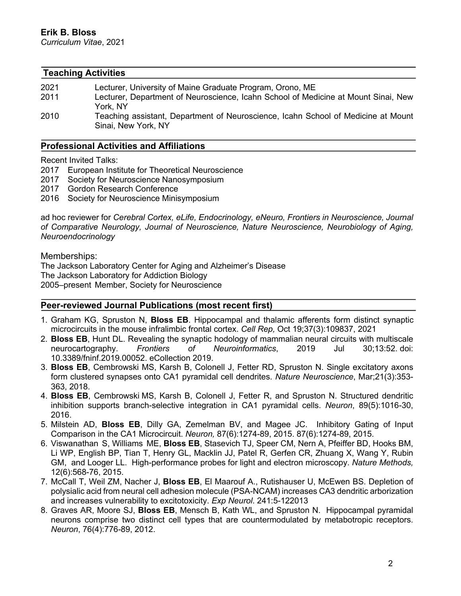#### **Teaching Activities**

| 2021 | Lecturer, University of Maine Graduate Program, Orono, ME                          |
|------|------------------------------------------------------------------------------------|
| 2011 | Lecturer, Department of Neuroscience, Icahn School of Medicine at Mount Sinai, New |
|      | York NY                                                                            |
| 2010 | Teaching assistant, Department of Neuroscience, Icahn School of Medicine at Mount  |
|      | Sinai, New York, NY                                                                |

## **Professional Activities and Affiliations**

Recent Invited Talks:

- 2017 European Institute for Theoretical Neuroscience
- 2017 Society for Neuroscience Nanosymposium
- 2017 Gordon Research Conference
- 2016 Society for Neuroscience Minisymposium

ad hoc reviewer for *Cerebral Cortex, eLife, Endocrinology, eNeuro, Frontiers in Neuroscience, Journal of Comparative Neurology, Journal of Neuroscience, Nature Neuroscience, Neurobiology of Aging, Neuroendocrinology*

Memberships:

The Jackson Laboratory Center for Aging and Alzheimer's Disease The Jackson Laboratory for Addiction Biology 2005–present Member, Society for Neuroscience

### **Peer-reviewed Journal Publications (most recent first)**

- 1. Graham KG, Spruston N, **Bloss EB**. Hippocampal and thalamic afferents form distinct synaptic microcircuits in the mouse infralimbic frontal cortex. *Cell Rep,* Oct 19;37(3):109837, 2021
- 2. **Bloss EB**, Hunt DL. Revealing the synaptic hodology of mammalian neural circuits with multiscale neurocartography. *Frontiers of Neuroinformatics*, 2019 Jul 30;13:52. doi: 10.3389/fninf.2019.00052. eCollection 2019.
- 3. **Bloss EB**, Cembrowski MS, Karsh B, Colonell J, Fetter RD, Spruston N. Single excitatory axons form clustered synapses onto CA1 pyramidal cell dendrites. *Nature Neuroscience*, Mar;21(3):353- 363, 2018.
- 4. **Bloss EB**, Cembrowski MS, Karsh B, Colonell J, Fetter R, and Spruston N. Structured dendritic inhibition supports branch-selective integration in CA1 pyramidal cells. *Neuron*, 89(5):1016-30, 2016.
- 5. Milstein AD, **Bloss EB**, Dilly GA, Zemelman BV, and Magee JC. Inhibitory Gating of Input Comparison in the CA1 Microcircuit. *Neuron,* 87(6):1274-89, 2015. 87(6):1274-89, 2015.
- 6. Viswanathan S, Williams ME, **Bloss EB**, Stasevich TJ, Speer CM, Nern A, Pfeiffer BD, Hooks BM, Li WP, English BP, Tian T, Henry GL, Macklin JJ, Patel R, Gerfen CR, Zhuang X, Wang Y, Rubin GM, and Looger LL. High-performance probes for light and electron microscopy. *Nature Methods,* 12(6):568-76, 2015.
- 7. McCall T, Weil ZM, Nacher J, **Bloss EB**, El Maarouf A., Rutishauser U, McEwen BS. Depletion of polysialic acid from neural cell adhesion molecule (PSA-NCAM) increases CA3 dendritic arborization and increases vulnerability to excitotoxicity. *Exp Neurol*. 241:5-122013
- 8. Graves AR, Moore SJ, **Bloss EB**, Mensch B, Kath WL, and Spruston N. Hippocampal pyramidal neurons comprise two distinct cell types that are countermodulated by metabotropic receptors. *Neuron*, 76(4):776-89, 2012.